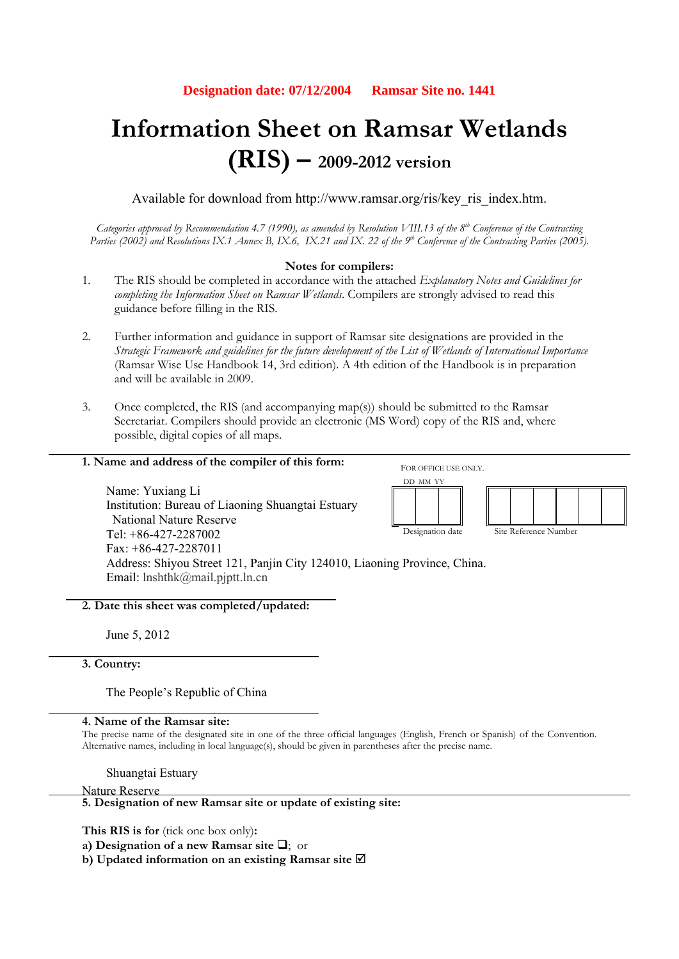# **Information Sheet on Ramsar Wetlands (RIS) – 2009-2012 version**

Available for download from http://www.ramsar.org/ris/key\_ris\_index.htm.

*Categories approved by Recommendation 4.7 (1990), as amended by Resolution VIII.13 of the 8th Conference of the Contracting*  Parties (2002) and Resolutions IX.1 Annex B, IX.6, IX.21 and IX. 22 of the 9<sup>th</sup> Conference of the Contracting Parties (2005).

## **Notes for compilers:**

- 1. The RIS should be completed in accordance with the attached *Explanatory Notes and Guidelines for completing the Information Sheet on Ramsar Wetlands*. Compilers are strongly advised to read this guidance before filling in the RIS.
- 2. Further information and guidance in support of Ramsar site designations are provided in the *Strategic Framework and guidelines for the future development of the List of Wetlands of International Importance*  (Ramsar Wise Use Handbook 14, 3rd edition). A 4th edition of the Handbook is in preparation and will be available in 2009.

DD MM YY

Designation date Site Reference Number

3. Once completed, the RIS (and accompanying map(s)) should be submitted to the Ramsar Secretariat. Compilers should provide an electronic (MS Word) copy of the RIS and, where possible, digital copies of all maps.

#### **1. Name and address of the compiler of this form:**  FOR OFFICE USE ONLY.

Name: Yuxiang Li Institution: Bureau of Liaoning Shuangtai Estuary National Nature Reserve Tel:  $+86-427-2287002$ Fax: +86-427-2287011 Address: Shiyou Street 121, Panjin City 124010, Liaoning Province, China. Email: lnshthk@mail.pjptt.ln.cn

**2. Date this sheet was completed/updated:** 

June 5, 2012

# **3. Country:**

The People's Republic of China

# **4. Name of the Ramsar site:**

The precise name of the designated site in one of the three official languages (English, French or Spanish) of the Convention. Alternative names, including in local language(s), should be given in parentheses after the precise name.

Shuangtai Estuary

Nature Reserve

# **5. Designation of new Ramsar site or update of existing site:**

**This RIS is for** (tick one box only)**:** 

**a) Designation of a new Ramsar site**  $\Box$ **;** or

**b) Updated information on an existing Ramsar site**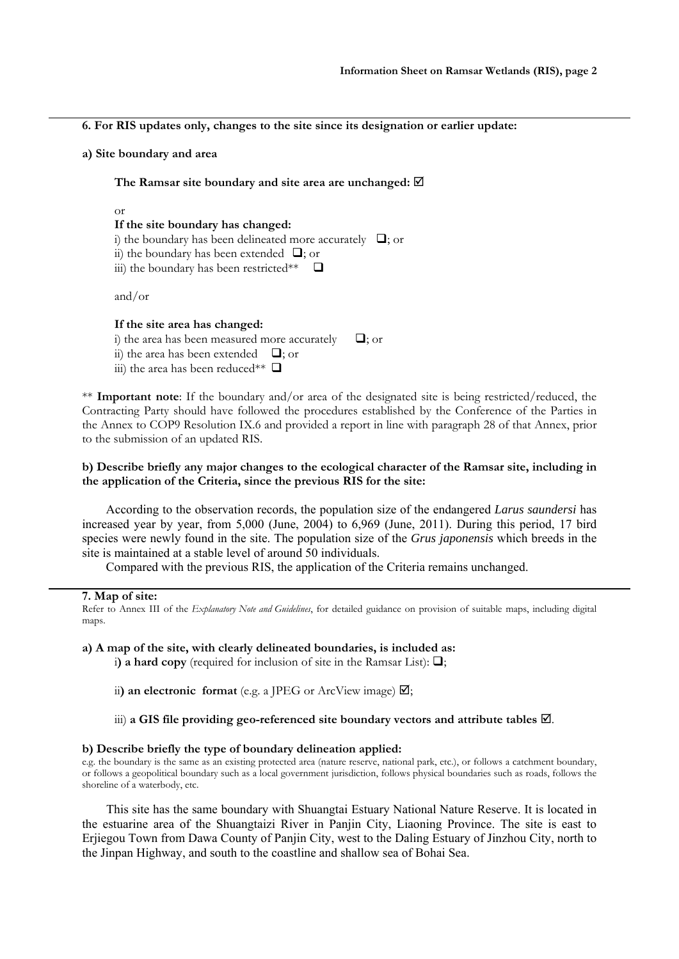**6. For RIS updates only, changes to the site since its designation or earlier update:** 

**a) Site boundary and area** 

**The Ramsar site boundary and site area are unchanged:** 

or

#### **If the site boundary has changed:**

- i) the boundary has been delineated more accurately  $\Box$ ; or
- ii) the boundary has been extended  $\Box$ ; or
- iii) the boundary has been restricted\*\*  $\Box$

and/or

#### **If the site area has changed:**

- i) the area has been measured more accurately  $\Box$ ; or ii) the area has been extended  $\Box$ ; or
- iii) the area has been reduced\*\*  $\Box$

\*\* **Important note**: If the boundary and/or area of the designated site is being restricted/reduced, the Contracting Party should have followed the procedures established by the Conference of the Parties in the Annex to COP9 Resolution IX.6 and provided a report in line with paragraph 28 of that Annex, prior to the submission of an updated RIS.

## **b) Describe briefly any major changes to the ecological character of the Ramsar site, including in the application of the Criteria, since the previous RIS for the site:**

According to the observation records, the population size of the endangered *Larus saundersi* has increased year by year, from 5,000 (June, 2004) to 6,969 (June, 2011). During this period, 17 bird species were newly found in the site. The population size of the *Grus japonensis* which breeds in the site is maintained at a stable level of around 50 individuals.

Compared with the previous RIS, the application of the Criteria remains unchanged.

#### **7. Map of site:**

Refer to Annex III of the *Explanatory Note and Guidelines*, for detailed guidance on provision of suitable maps, including digital maps.

**a) A map of the site, with clearly delineated boundaries, is included as:**

i) a hard copy (required for inclusion of site in the Ramsar List):  $\Box$ ;

ii) an electronic format (e.g. a JPEG or ArcView image)  $\boxtimes$ ;

## iii) a GIS file providing geo-referenced site boundary vectors and attribute tables  $\mathbb{Z}$ .

## **b) Describe briefly the type of boundary delineation applied:**

e.g. the boundary is the same as an existing protected area (nature reserve, national park, etc.), or follows a catchment boundary, or follows a geopolitical boundary such as a local government jurisdiction, follows physical boundaries such as roads, follows the shoreline of a waterbody, etc.

This site has the same boundary with Shuangtai Estuary National Nature Reserve. It is located in the estuarine area of the Shuangtaizi River in Panjin City, Liaoning Province. The site is east to Erjiegou Town from Dawa County of Panjin City, west to the Daling Estuary of Jinzhou City, north to the Jinpan Highway, and south to the coastline and shallow sea of Bohai Sea.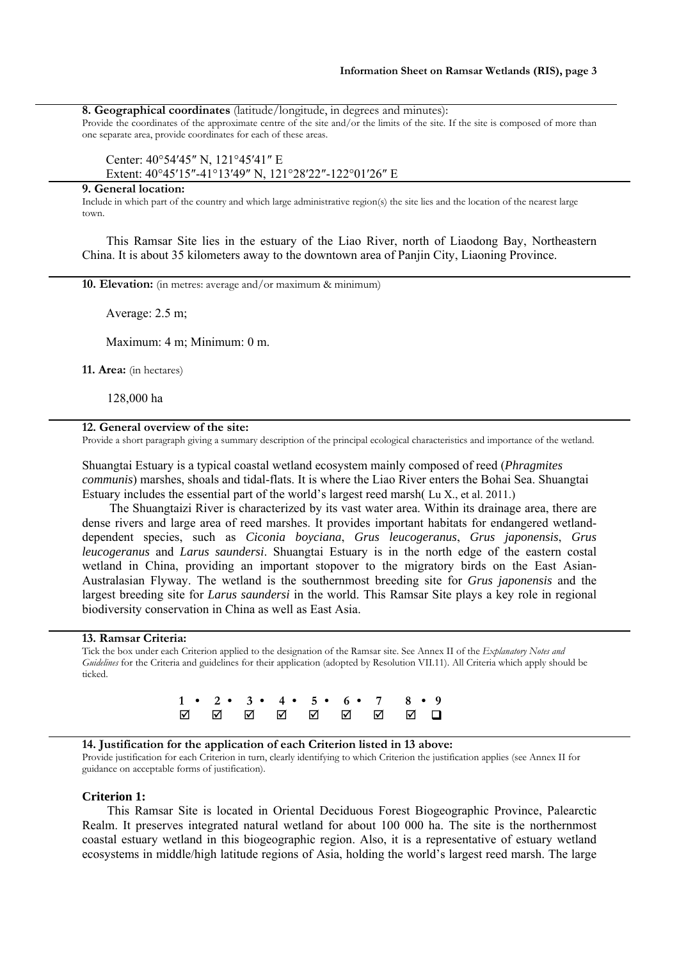**8. Geographical coordinates** (latitude/longitude, in degrees and minutes):

Provide the coordinates of the approximate centre of the site and/or the limits of the site. If the site is composed of more than one separate area, provide coordinates for each of these areas.

## Center: 40°54′45″ N, 121°45′41″ E Extent: 40°45′15″-41°13′49″ N, 121°28′22″-122°01′26″ E

## **9. General location:**

Include in which part of the country and which large administrative region(s) the site lies and the location of the nearest large town.

This Ramsar Site lies in the estuary of the Liao River, north of Liaodong Bay, Northeastern China. It is about 35 kilometers away to the downtown area of Panjin City, Liaoning Province.

**10. Elevation:** (in metres: average and/or maximum & minimum)

Average: 2.5 m;

Maximum: 4 m; Minimum: 0 m.

**11. Area:** (in hectares)

128,000 ha

#### **12. General overview of the site:**

Provide a short paragraph giving a summary description of the principal ecological characteristics and importance of the wetland.

Shuangtai Estuary is a typical coastal wetland ecosystem mainly composed of reed (*Phragmites communis*) marshes, shoals and tidal-flats. It is where the Liao River enters the Bohai Sea. Shuangtai Estuary includes the essential part of the world's largest reed marsh( Lu X., et al. 2011.)

 The Shuangtaizi River is characterized by its vast water area. Within its drainage area, there are dense rivers and large area of reed marshes. It provides important habitats for endangered wetlanddependent species, such as *Ciconia boyciana*, *Grus leucogeranus*, *Grus japonensis*, *Grus leucogeranus* and *Larus saundersi*. Shuangtai Estuary is in the north edge of the eastern costal wetland in China, providing an important stopover to the migratory birds on the East Asian-Australasian Flyway. The wetland is the southernmost breeding site for *Grus japonensis* and the largest breeding site for *Larus saundersi* in the world. This Ramsar Site plays a key role in regional biodiversity conservation in China as well as East Asia.

#### **13. Ramsar Criteria:**

Tick the box under each Criterion applied to the designation of the Ramsar site. See Annex II of the *Explanatory Notes and Guidelines* for the Criteria and guidelines for their application (adopted by Resolution VII.11). All Criteria which apply should be ticked.

> **1 • 2 • 3 • 4 • 5 • 6 • 7 8 • 9**

## **14. Justification for the application of each Criterion listed in 13 above:**

Provide justification for each Criterion in turn, clearly identifying to which Criterion the justification applies (see Annex II for guidance on acceptable forms of justification).

#### **Criterion 1:**

This Ramsar Site is located in Oriental Deciduous Forest Biogeographic Province, Palearctic Realm. It preserves integrated natural wetland for about 100 000 ha. The site is the northernmost coastal estuary wetland in this biogeographic region. Also, it is a representative of estuary wetland ecosystems in middle/high latitude regions of Asia, holding the world's largest reed marsh. The large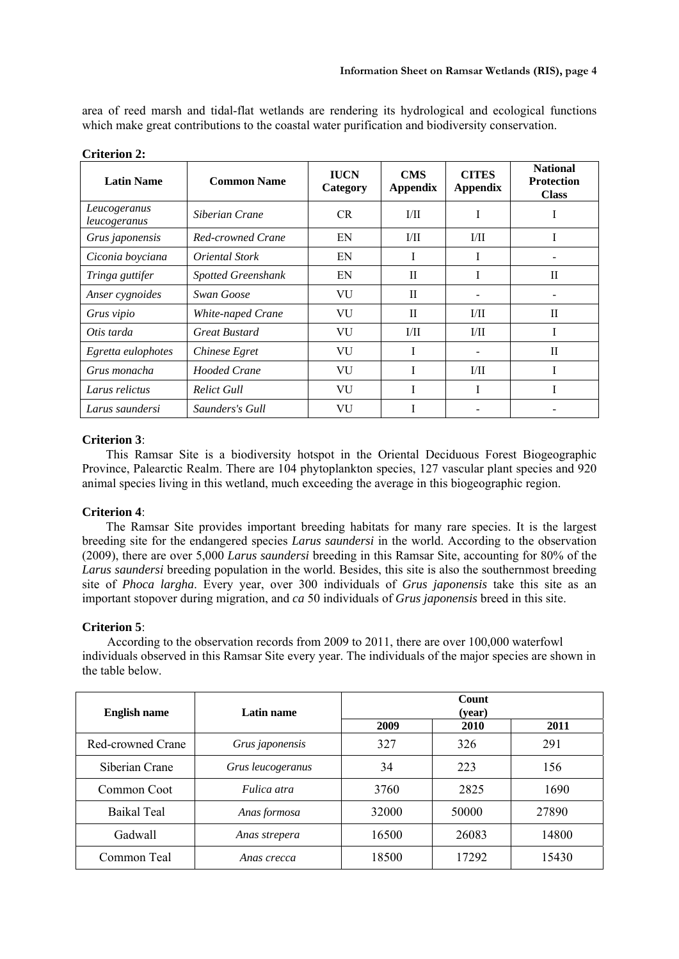area of reed marsh and tidal-flat wetlands are rendering its hydrological and ecological functions which make great contributions to the coastal water purification and biodiversity conservation.

| <b>Latin Name</b>            | <b>Common Name</b>        | <b>IUCN</b><br>Category | <b>CMS</b><br><b>Appendix</b> | <b>CITES</b><br><b>Appendix</b> | <b>National</b><br><b>Protection</b><br><b>Class</b> |  |  |  |
|------------------------------|---------------------------|-------------------------|-------------------------------|---------------------------------|------------------------------------------------------|--|--|--|
| Leucogeranus<br>leucogeranus | Siberian Crane            | CR.                     | 1/11                          | I                               |                                                      |  |  |  |
| Grus japonensis              | Red-crowned Crane         | EN                      | 1/11                          | 1/11                            |                                                      |  |  |  |
| Ciconia boyciana             | <i>Oriental Stork</i>     | EN                      | -1                            | -1                              |                                                      |  |  |  |
| Tringa guttifer              | <b>Spotted Greenshank</b> | EN                      | $\mathbf{I}$                  |                                 | H                                                    |  |  |  |
| Anser cygnoides              | Swan Goose                | VU                      | П                             |                                 |                                                      |  |  |  |
| Grus vipio                   | White-naped Crane         | VU                      | H                             | I/II                            | $\mathbf{I}$                                         |  |  |  |
| Otis tarda                   | <b>Great Bustard</b>      | VU                      | 1/11                          | I/II                            |                                                      |  |  |  |
| Egretta eulophotes           | Chinese Egret             | VU                      |                               |                                 | H                                                    |  |  |  |
| Grus monacha                 | Hooded Crane              | VU                      |                               | 1/11                            |                                                      |  |  |  |
| Larus relictus               | <b>Relict Gull</b>        | VU                      | T                             | Ι                               |                                                      |  |  |  |
| Larus saundersi              | Saunders's Gull           | VU                      |                               |                                 |                                                      |  |  |  |

**Criterion 2:** 

# **Criterion 3**:

This Ramsar Site is a biodiversity hotspot in the Oriental Deciduous Forest Biogeographic Province, Palearctic Realm. There are 104 phytoplankton species, 127 vascular plant species and 920 animal species living in this wetland, much exceeding the average in this biogeographic region.

# **Criterion 4**:

The Ramsar Site provides important breeding habitats for many rare species. It is the largest breeding site for the endangered species *Larus saundersi* in the world. According to the observation (2009), there are over 5,000 *Larus saundersi* breeding in this Ramsar Site, accounting for 80% of the *Larus saundersi* breeding population in the world. Besides, this site is also the southernmost breeding site of *Phoca largha*. Every year, over 300 individuals of *Grus japonensis* take this site as an important stopover during migration, and *ca* 50 individuals of *Grus japonensis* breed in this site.

## **Criterion 5**:

According to the observation records from 2009 to 2011, there are over 100,000 waterfowl individuals observed in this Ramsar Site every year. The individuals of the major species are shown in the table below.

| <b>English name</b> | Latin name         | Count<br>(year) |       |       |  |  |  |  |  |
|---------------------|--------------------|-----------------|-------|-------|--|--|--|--|--|
|                     |                    | 2009            | 2010  | 2011  |  |  |  |  |  |
| Red-crowned Crane   | Grus japonensis    | 327             | 326   | 291   |  |  |  |  |  |
| Siberian Crane      | Grus leucogeranus  | 34              | 223   | 156   |  |  |  |  |  |
| Common Coot         | <i>Fulica atra</i> | 3760            | 2825  | 1690  |  |  |  |  |  |
| <b>Baikal Teal</b>  | Anas formosa       | 32000           | 50000 | 27890 |  |  |  |  |  |
| Gadwall             | Anas strepera      | 16500           | 26083 | 14800 |  |  |  |  |  |
| Common Teal         | Anas crecca        | 18500           | 17292 | 15430 |  |  |  |  |  |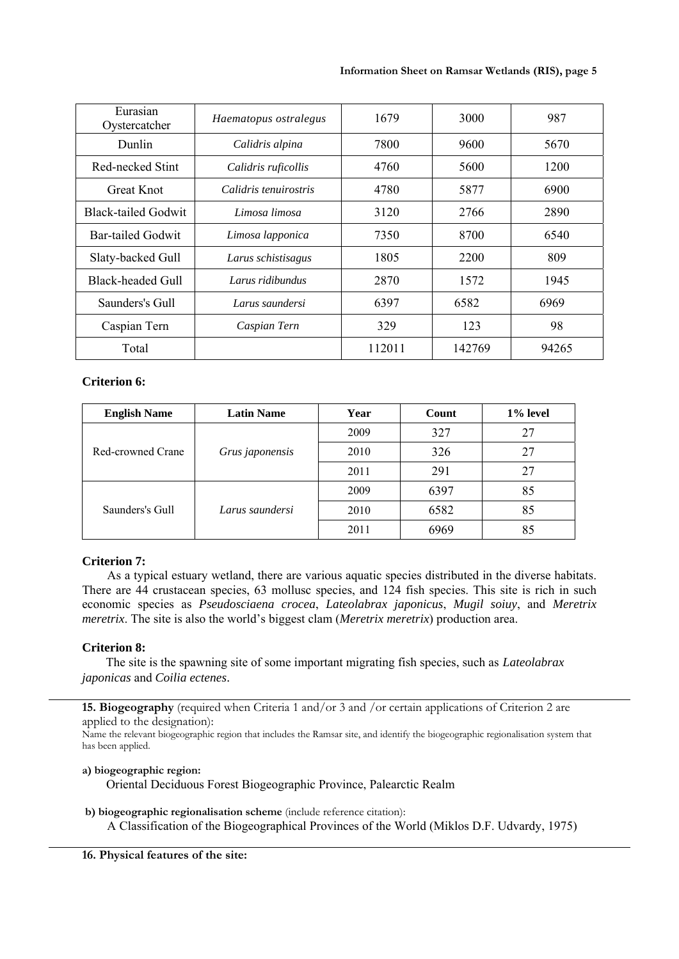| Eurasian<br>Oystercatcher  | Haematopus ostralegus | 1679   | 3000   | 987   |  |  |
|----------------------------|-----------------------|--------|--------|-------|--|--|
| Dunlin                     | Calidris alpina       | 7800   | 9600   | 5670  |  |  |
| Red-necked Stint           | Calidris ruficollis   | 4760   | 5600   | 1200  |  |  |
| <b>Great Knot</b>          | Calidris tenuirostris | 4780   | 5877   | 6900  |  |  |
| <b>Black-tailed Godwit</b> | Limosa limosa         | 3120   | 2766   | 2890  |  |  |
| <b>Bar-tailed Godwit</b>   | Limosa lapponica      | 7350   | 8700   | 6540  |  |  |
| Slaty-backed Gull          | Larus schistisagus    | 1805   | 2200   | 809   |  |  |
| <b>Black-headed Gull</b>   | Larus ridibundus      | 2870   | 1572   | 1945  |  |  |
| Saunders's Gull            | Larus saundersi       | 6397   | 6582   | 6969  |  |  |
| Caspian Tern               | Caspian Tern          | 329    | 123    | 98    |  |  |
| Total                      |                       | 112011 | 142769 | 94265 |  |  |

## **Criterion 6:**

| <b>English Name</b> | <b>Latin Name</b> | Year | Count | 1% level |
|---------------------|-------------------|------|-------|----------|
|                     |                   | 2009 | 327   | 27       |
| Red-crowned Crane   | Grus japonensis   | 2010 | 326   | 27       |
|                     |                   | 2011 | 291   | 27       |
| Saunders's Gull     |                   | 2009 | 6397  | 85       |
|                     | Larus saundersi   | 2010 | 6582  | 85       |
|                     |                   | 2011 | 6969  | 85       |

# **Criterion 7:**

As a typical estuary wetland, there are various aquatic species distributed in the diverse habitats. There are 44 crustacean species, 63 mollusc species, and 124 fish species. This site is rich in such economic species as *Pseudosciaena crocea*, *Lateolabrax japonicus*, *Mugil soiuy*, and *Meretrix meretrix*. The site is also the world's biggest clam (*Meretrix meretrix*) production area.

# **Criterion 8:**

The site is the spawning site of some important migrating fish species, such as *Lateolabrax japonicas* and *Coilia ectenes*.

**15. Biogeography** (required when Criteria 1 and/or 3 and /or certain applications of Criterion 2 are applied to the designation):

Name the relevant biogeographic region that includes the Ramsar site, and identify the biogeographic regionalisation system that has been applied.

## **a) biogeographic region:**

Oriental Deciduous Forest Biogeographic Province, Palearctic Realm

**b) biogeographic regionalisation scheme** (include reference citation):

A Classification of the Biogeographical Provinces of the World (Miklos D.F. Udvardy, 1975)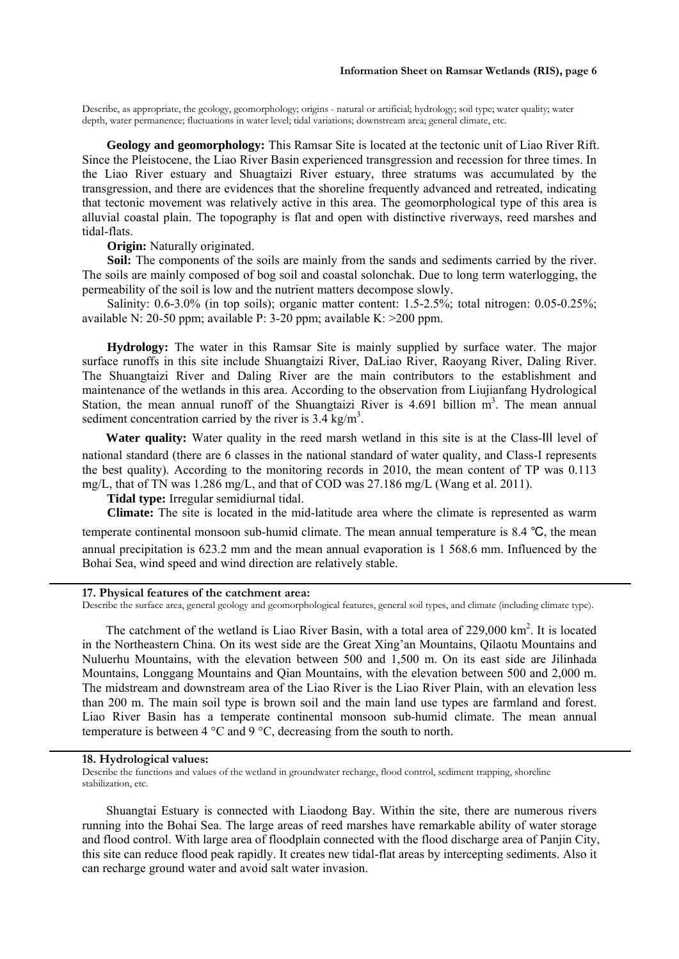Describe, as appropriate, the geology, geomorphology; origins - natural or artificial; hydrology; soil type; water quality; water depth, water permanence; fluctuations in water level; tidal variations; downstream area; general climate, etc.

**Geology and geomorphology:** This Ramsar Site is located at the tectonic unit of Liao River Rift. Since the Pleistocene, the Liao River Basin experienced transgression and recession for three times. In the Liao River estuary and Shuagtaizi River estuary, three stratums was accumulated by the transgression, and there are evidences that the shoreline frequently advanced and retreated, indicating that tectonic movement was relatively active in this area. The geomorphological type of this area is alluvial coastal plain. The topography is flat and open with distinctive riverways, reed marshes and tidal-flats.

#### **Origin:** Naturally originated.

**Soil:** The components of the soils are mainly from the sands and sediments carried by the river. The soils are mainly composed of bog soil and coastal solonchak. Due to long term waterlogging, the permeability of the soil is low and the nutrient matters decompose slowly.

Salinity: 0.6-3.0% (in top soils); organic matter content: 1.5-2.5%; total nitrogen: 0.05-0.25%; available N: 20-50 ppm; available P: 3-20 ppm; available K: >200 ppm.

**Hydrology:** The water in this Ramsar Site is mainly supplied by surface water. The major surface runoffs in this site include Shuangtaizi River, DaLiao River, Raoyang River, Daling River. The Shuangtaizi River and Daling River are the main contributors to the establishment and maintenance of the wetlands in this area. According to the observation from Liujianfang Hydrological Station, the mean annual runoff of the Shuangtaizi River is  $4.691$  billion m<sup>3</sup>. The mean annual sediment concentration carried by the river is  $3.4 \text{ kg/m}^3$ .

Water quality: Water quality in the reed marsh wetland in this site is at the Class-III level of national standard (there are 6 classes in the national standard of water quality, and Class-I represents the best quality). According to the monitoring records in 2010, the mean content of TP was 0.113 mg/L, that of TN was 1.286 mg/L, and that of COD was 27.186 mg/L (Wang et al. 2011).

**Tidal type:** Irregular semidiurnal tidal.

**Climate:** The site is located in the mid-latitude area where the climate is represented as warm temperate continental monsoon sub-humid climate. The mean annual temperature is 8.4 ℃, the mean annual precipitation is 623.2 mm and the mean annual evaporation is 1 568.6 mm. Influenced by the Bohai Sea, wind speed and wind direction are relatively stable.

#### **17. Physical features of the catchment area:**

Describe the surface area, general geology and geomorphological features, general soil types, and climate (including climate type).

The catchment of the wetland is Liao River Basin, with a total area of 229,000 km<sup>2</sup>. It is located in the Northeastern China. On its west side are the Great Xing'an Mountains, Qilaotu Mountains and Nuluerhu Mountains, with the elevation between 500 and 1,500 m. On its east side are Jilinhada Mountains, Longgang Mountains and Qian Mountains, with the elevation between 500 and 2,000 m. The midstream and downstream area of the Liao River is the Liao River Plain, with an elevation less than 200 m. The main soil type is brown soil and the main land use types are farmland and forest. Liao River Basin has a temperate continental monsoon sub-humid climate. The mean annual temperature is between 4 °C and 9 °C, decreasing from the south to north.

## **18. Hydrological values:**

Describe the functions and values of the wetland in groundwater recharge, flood control, sediment trapping, shoreline stabilization, etc.

Shuangtai Estuary is connected with Liaodong Bay. Within the site, there are numerous rivers running into the Bohai Sea. The large areas of reed marshes have remarkable ability of water storage and flood control. With large area of floodplain connected with the flood discharge area of Panjin City, this site can reduce flood peak rapidly. It creates new tidal-flat areas by intercepting sediments. Also it can recharge ground water and avoid salt water invasion.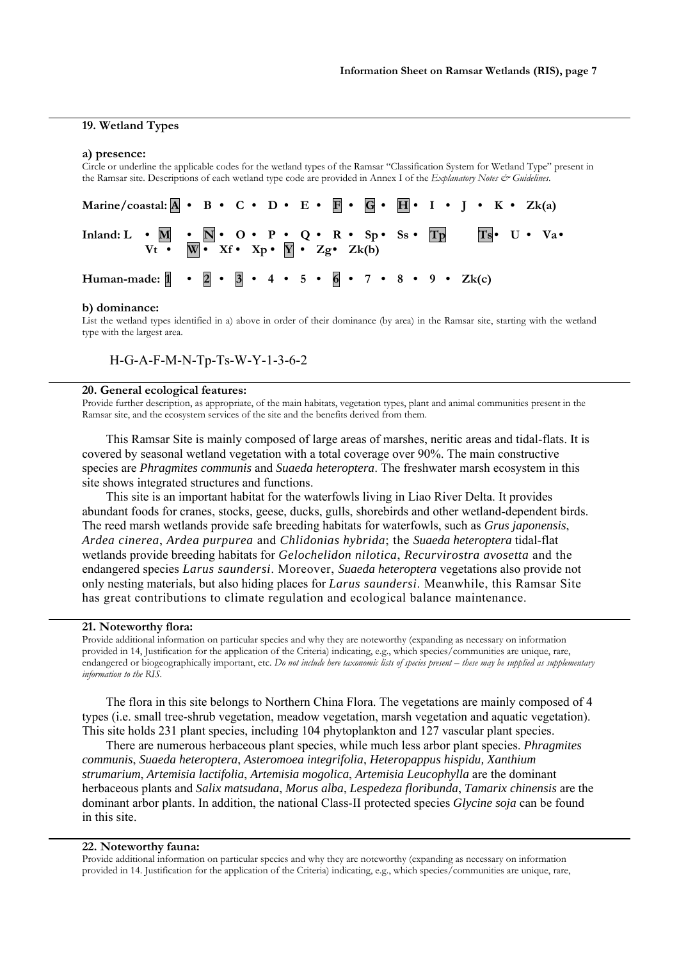#### **19. Wetland Types**

#### **a) presence:**

Circle or underline the applicable codes for the wetland types of the Ramsar "Classification System for Wetland Type" present in the Ramsar site. Descriptions of each wetland type code are provided in Annex I of the *Explanatory Notes & Guidelines*.

| Marine/coastal: $\overline{A} \cdot B \cdot C \cdot D \cdot E \cdot \overline{B} \cdot \overline{G} \cdot \overline{H} \cdot I \cdot J \cdot K \cdot Z_{k(a)}$ |                                                                                               |  |  |  |  |  |  |  |  |  |  |  |
|----------------------------------------------------------------------------------------------------------------------------------------------------------------|-----------------------------------------------------------------------------------------------|--|--|--|--|--|--|--|--|--|--|--|
| Inland: $L \cdot M \cdot N \cdot O \cdot P \cdot Q \cdot R \cdot Sp \cdot Ss \cdot Tp$ Ts U Va                                                                 | $Vt \bullet \overline{W} \bullet Xf \bullet Xp \bullet \overline{Y} \bullet Zg \bullet Zk(b)$ |  |  |  |  |  |  |  |  |  |  |  |
| Human-made: $1 \cdot 2 \cdot 3 \cdot 4 \cdot 5 \cdot 6 \cdot 7 \cdot 8 \cdot 9 \cdot Zk(c)$                                                                    |                                                                                               |  |  |  |  |  |  |  |  |  |  |  |

#### **b) dominance:**

List the wetland types identified in a) above in order of their dominance (by area) in the Ramsar site, starting with the wetland type with the largest area.

H-G-A-F-M-N-Tp-Ts-W-Y-1-3-6-2

#### **20. General ecological features:**

Provide further description, as appropriate, of the main habitats, vegetation types, plant and animal communities present in the Ramsar site, and the ecosystem services of the site and the benefits derived from them.

This Ramsar Site is mainly composed of large areas of marshes, neritic areas and tidal-flats. It is covered by seasonal wetland vegetation with a total coverage over 90%. The main constructive species are *Phragmites communis* and *Suaeda heteroptera*. The freshwater marsh ecosystem in this site shows integrated structures and functions.

This site is an important habitat for the waterfowls living in Liao River Delta. It provides abundant foods for cranes, stocks, geese, ducks, gulls, shorebirds and other wetland-dependent birds. The reed marsh wetlands provide safe breeding habitats for waterfowls, such as *Grus japonensis*, *Ardea cinerea*, *Ardea purpurea* and *Chlidonias hybrida*; the *Suaeda heteroptera* tidal-flat wetlands provide breeding habitats for *Gelochelidon nilotica*, *Recurvirostra avosetta* and the endangered species *Larus saundersi*. Moreover, *Suaeda heteroptera* vegetations also provide not only nesting materials, but also hiding places for *Larus saundersi*. Meanwhile, this Ramsar Site has great contributions to climate regulation and ecological balance maintenance.

#### **21. Noteworthy flora:**

Provide additional information on particular species and why they are noteworthy (expanding as necessary on information provided in 14, Justification for the application of the Criteria) indicating, e.g., which species/communities are unique, rare, endangered or biogeographically important, etc. *Do not include here taxonomic lists of species present – these may be supplied as supplementary information to the RIS.* 

The flora in this site belongs to Northern China Flora. The vegetations are mainly composed of 4 types (i.e. small tree-shrub vegetation, meadow vegetation, marsh vegetation and aquatic vegetation). This site holds 231 plant species, including 104 phytoplankton and 127 vascular plant species.

There are numerous herbaceous plant species, while much less arbor plant species. *Phragmites communis*, *Suaeda heteroptera*, *Asteromoea integrifolia*, *Heteropappus hispidu, Xanthium strumarium*, *Artemisia lactifolia*, *Artemisia mogolica*, *Artemisia Leucophylla* are the dominant herbaceous plants and *Salix matsudana*, *Morus alba*, *Lespedeza floribunda*, *Tamarix chinensis* are the dominant arbor plants. In addition, the national Class-II protected species *Glycine soja* can be found in this site.

#### **22. Noteworthy fauna:**

Provide additional information on particular species and why they are noteworthy (expanding as necessary on information provided in 14. Justification for the application of the Criteria) indicating, e.g., which species/communities are unique, rare,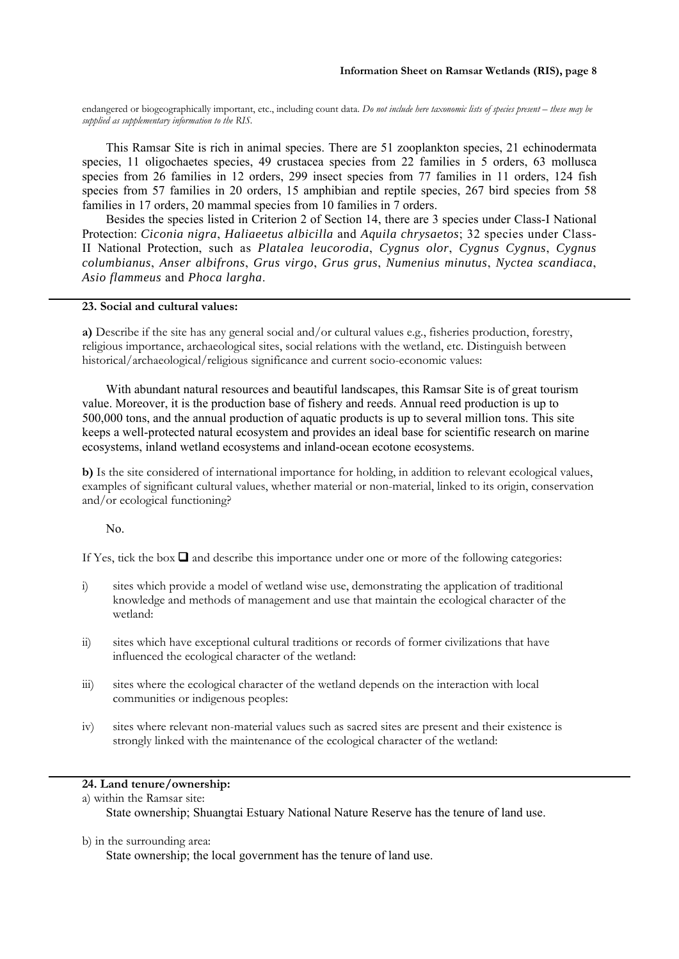endangered or biogeographically important, etc., including count data. *Do not include here taxonomic lists of species present – these may be supplied as supplementary information to the RIS.*

This Ramsar Site is rich in animal species. There are 51 zooplankton species, 21 echinodermata species, 11 oligochaetes species, 49 crustacea species from 22 families in 5 orders, 63 mollusca species from 26 families in 12 orders, 299 insect species from 77 families in 11 orders, 124 fish species from 57 families in 20 orders, 15 amphibian and reptile species, 267 bird species from 58 families in 17 orders, 20 mammal species from 10 families in 7 orders.

Besides the species listed in Criterion 2 of Section 14, there are 3 species under Class-I National Protection: *Ciconia nigra*, *Haliaeetus albicilla* and *Aquila chrysaetos*; 32 species under Class-II National Protection, such as *Platalea leucorodia*, *Cygnus olor*, *Cygnus Cygnus*, *Cygnus columbianus*, *Anser albifrons*, *Grus virgo*, *Grus grus*, *Numenius minutus*, *Nyctea scandiaca*, *Asio flammeus* and *Phoca largha*.

#### **23. Social and cultural values:**

**a)** Describe if the site has any general social and/or cultural values e.g., fisheries production, forestry, religious importance, archaeological sites, social relations with the wetland, etc. Distinguish between historical/archaeological/religious significance and current socio-economic values:

With abundant natural resources and beautiful landscapes, this Ramsar Site is of great tourism value. Moreover, it is the production base of fishery and reeds. Annual reed production is up to 500,000 tons, and the annual production of aquatic products is up to several million tons. This site keeps a well-protected natural ecosystem and provides an ideal base for scientific research on marine ecosystems, inland wetland ecosystems and inland-ocean ecotone ecosystems.

**b)** Is the site considered of international importance for holding, in addition to relevant ecological values, examples of significant cultural values, whether material or non-material, linked to its origin, conservation and/or ecological functioning?

## No.

If Yes, tick the box  $\Box$  and describe this importance under one or more of the following categories:

- i) sites which provide a model of wetland wise use, demonstrating the application of traditional knowledge and methods of management and use that maintain the ecological character of the wetland:
- ii) sites which have exceptional cultural traditions or records of former civilizations that have influenced the ecological character of the wetland:
- iii) sites where the ecological character of the wetland depends on the interaction with local communities or indigenous peoples:
- iv) sites where relevant non-material values such as sacred sites are present and their existence is strongly linked with the maintenance of the ecological character of the wetland:

# **24. Land tenure/ownership:**

a) within the Ramsar site: State ownership; Shuangtai Estuary National Nature Reserve has the tenure of land use.

#### b) in the surrounding area:

State ownership; the local government has the tenure of land use.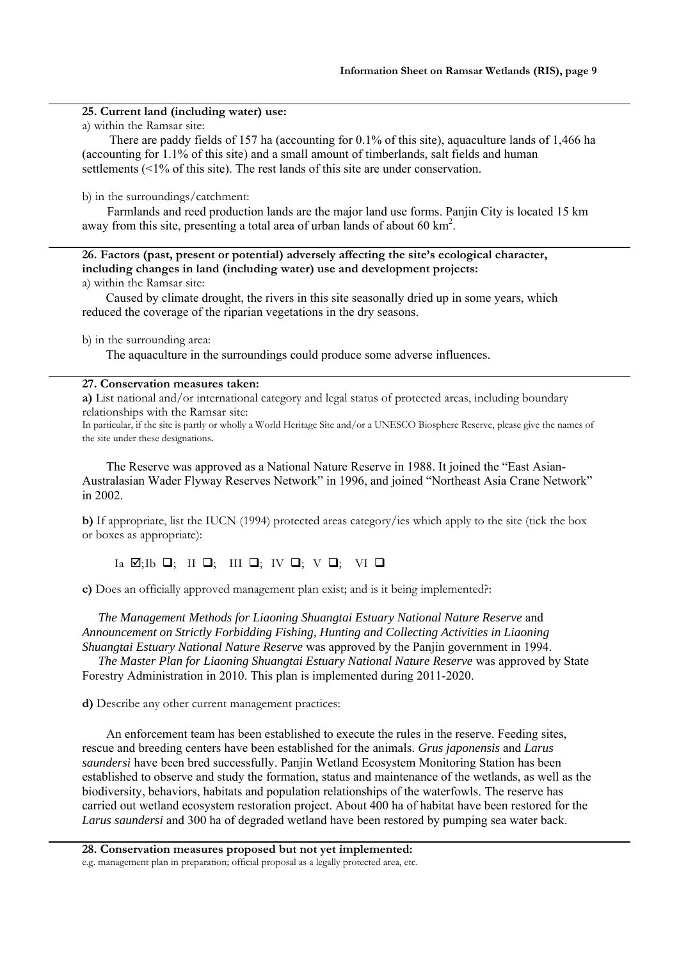## **25. Current land (including water) use:**

a) within the Ramsar site:

There are paddy fields of 157 ha (accounting for 0.1% of this site), aquaculture lands of 1,466 ha (accounting for 1.1% of this site) and a small amount of timberlands, salt fields and human settlements (<1% of this site). The rest lands of this site are under conservation.

b) in the surroundings/catchment:

Farmlands and reed production lands are the major land use forms. Panjin City is located 15 km away from this site, presenting a total area of urban lands of about 60  $\text{km}^2$ .

**26. Factors (past, present or potential) adversely affecting the site's ecological character, including changes in land (including water) use and development projects:**  a) within the Ramsar site:

Caused by climate drought, the rivers in this site seasonally dried up in some years, which reduced the coverage of the riparian vegetations in the dry seasons.

b) in the surrounding area:

The aquaculture in the surroundings could produce some adverse influences.

## **27. Conservation measures taken:**

**a)** List national and/or international category and legal status of protected areas, including boundary relationships with the Ramsar site:

In particular, if the site is partly or wholly a World Heritage Site and/or a UNESCO Biosphere Reserve, please give the names of the site under these designations.

The Reserve was approved as a National Nature Reserve in 1988. It joined the "East Asian-Australasian Wader Flyway Reserves Network" in 1996, and joined "Northeast Asia Crane Network" in 2002.

**b)** If appropriate, list the IUCN (1994) protected areas category/ies which apply to the site (tick the box or boxes as appropriate):

Ia  $\boxtimes;$  Ib  $\Box;$  II  $\Box;$  III  $\Box;$  IV  $\Box;$  V  $\Box;$  VI  $\Box$ 

**c)** Does an officially approved management plan exist; and is it being implemented?:

*The Management Methods for Liaoning Shuangtai Estuary National Nature Reserve* and *Announcement on Strictly Forbidding Fishing, Hunting and Collecting Activities in Liaoning Shuangtai Estuary National Nature Reserve* was approved by the Panjin government in 1994.

*The Master Plan for Liaoning Shuangtai Estuary National Nature Reserve* was approved by State Forestry Administration in 2010. This plan is implemented during 2011-2020.

**d)** Describe any other current management practices:

An enforcement team has been established to execute the rules in the reserve. Feeding sites, rescue and breeding centers have been established for the animals. *Grus japonensis* and *Larus saundersi* have been bred successfully. Panjin Wetland Ecosystem Monitoring Station has been established to observe and study the formation, status and maintenance of the wetlands, as well as the biodiversity, behaviors, habitats and population relationships of the waterfowls. The reserve has carried out wetland ecosystem restoration project. About 400 ha of habitat have been restored for the *Larus saundersi* and 300 ha of degraded wetland have been restored by pumping sea water back.

**<sup>28.</sup> Conservation measures proposed but not yet implemented:**  e.g. management plan in preparation; official proposal as a legally protected area, etc.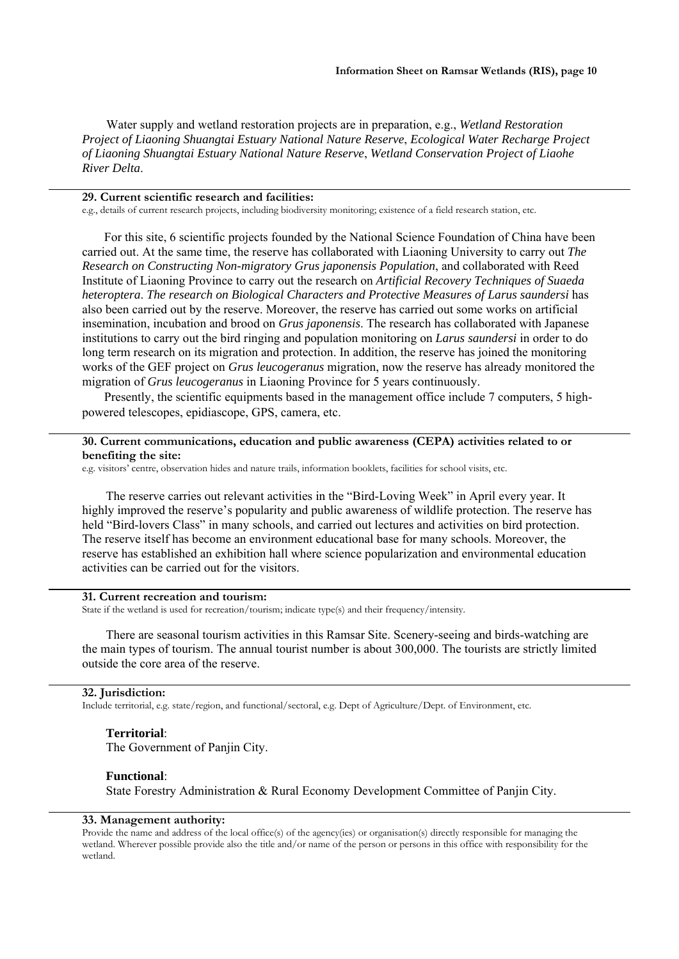Water supply and wetland restoration projects are in preparation, e.g., *Wetland Restoration Project of Liaoning Shuangtai Estuary National Nature Reserve*, *Ecological Water Recharge Project of Liaoning Shuangtai Estuary National Nature Reserve*, *Wetland Conservation Project of Liaohe River Delta*.

# **29. Current scientific research and facilities:**

e.g., details of current research projects, including biodiversity monitoring; existence of a field research station, etc.

For this site, 6 scientific projects founded by the National Science Foundation of China have been carried out. At the same time, the reserve has collaborated with Liaoning University to carry out *The Research on Constructing Non-migratory Grus japonensis Population*, and collaborated with Reed Institute of Liaoning Province to carry out the research on *Artificial Recovery Techniques of Suaeda heteroptera*. *The research on Biological Characters and Protective Measures of Larus saundersi* has also been carried out by the reserve. Moreover, the reserve has carried out some works on artificial insemination, incubation and brood on *Grus japonensis*. The research has collaborated with Japanese institutions to carry out the bird ringing and population monitoring on *Larus saundersi* in order to do long term research on its migration and protection. In addition, the reserve has joined the monitoring works of the GEF project on *Grus leucogeranus* migration, now the reserve has already monitored the migration of *Grus leucogeranus* in Liaoning Province for 5 years continuously.

Presently, the scientific equipments based in the management office include 7 computers, 5 highpowered telescopes, epidiascope, GPS, camera, etc.

## **30. Current communications, education and public awareness (CEPA) activities related to or benefiting the site:**

e.g. visitors' centre, observation hides and nature trails, information booklets, facilities for school visits, etc.

The reserve carries out relevant activities in the "Bird-Loving Week" in April every year. It highly improved the reserve's popularity and public awareness of wildlife protection. The reserve has held "Bird-lovers Class" in many schools, and carried out lectures and activities on bird protection. The reserve itself has become an environment educational base for many schools. Moreover, the reserve has established an exhibition hall where science popularization and environmental education activities can be carried out for the visitors.

#### **31. Current recreation and tourism:**

State if the wetland is used for recreation/tourism; indicate type(s) and their frequency/intensity.

There are seasonal tourism activities in this Ramsar Site. Scenery-seeing and birds-watching are the main types of tourism. The annual tourist number is about 300,000. The tourists are strictly limited outside the core area of the reserve.

#### **32. Jurisdiction:**

Include territorial, e.g. state/region, and functional/sectoral, e.g. Dept of Agriculture/Dept. of Environment, etc.

#### **Territorial**:

The Government of Panjin City.

#### **Functional**:

State Forestry Administration & Rural Economy Development Committee of Panjin City.

#### **33. Management authority:**

Provide the name and address of the local office(s) of the agency(ies) or organisation(s) directly responsible for managing the wetland. Wherever possible provide also the title and/or name of the person or persons in this office with responsibility for the wetland.